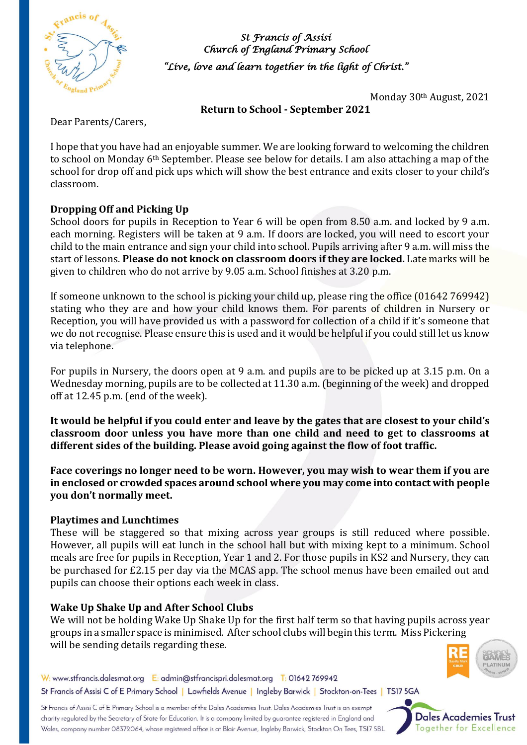

*St Francis of Assisi Church of England Primary School "Live, love and learn together in the light of Christ."* 

Monday 30th August, 2021

**Return to School - September 2021**

Dear Parents/Carers,

I hope that you have had an enjoyable summer. We are looking forward to welcoming the children to school on Monday 6th September. Please see below for details. I am also attaching a map of the school for drop off and pick ups which will show the best entrance and exits closer to your child's classroom.

## **Dropping Off and Picking Up**

School doors for pupils in Reception to Year 6 will be open from 8.50 a.m. and locked by 9 a.m. each morning. Registers will be taken at 9 a.m. If doors are locked, you will need to escort your child to the main entrance and sign your child into school. Pupils arriving after 9 a.m. will miss the start of lessons. **Please do not knock on classroom doors if they are locked.** Late marks will be given to children who do not arrive by 9.05 a.m. School finishes at 3.20 p.m.

If someone unknown to the school is picking your child up, please ring the office (01642 769942) stating who they are and how your child knows them. For parents of children in Nursery or Reception, you will have provided us with a password for collection of a child if it's someone that we do not recognise. Please ensure this is used and it would be helpful if you could still let us know via telephone.

For pupils in Nursery, the doors open at 9 a.m. and pupils are to be picked up at 3.15 p.m. On a Wednesday morning, pupils are to be collected at 11.30 a.m. (beginning of the week) and dropped off at 12.45 p.m. (end of the week).

**It would be helpful if you could enter and leave by the gates that are closest to your child's classroom door unless you have more than one child and need to get to classrooms at different sides of the building. Please avoid going against the flow of foot traffic.**

**Face coverings no longer need to be worn. However, you may wish to wear them if you are in enclosed or crowded spaces around school where you may come into contact with people you don't normally meet.**

### **Playtimes and Lunchtimes**

These will be staggered so that mixing across year groups is still reduced where possible. However, all pupils will eat lunch in the school hall but with mixing kept to a minimum. School meals are free for pupils in Reception, Year 1 and 2. For those pupils in KS2 and Nursery, they can be purchased for £2.15 per day via the MCAS app. The school menus have been emailed out and pupils can choose their options each week in class.

### **Wake Up Shake Up and After School Clubs**

We will not be holding Wake Up Shake Up for the first half term so that having pupils across year groups in a smaller space is minimised. After school clubs will begin this term. Miss Pickering will be sending details regarding these.



W: www.stfrancis.dalesmat.org E: admin@stfrancispri.dalesmat.org T: 01642 769942 St Francis of Assisi C of E Primary School | Lowfields Avenue | Ingleby Barwick | Stockton-on-Tees | TS17 5GA

St Francis of Assisi C of E Primary School is a member of the Dales Academies Trust. Dales Academies Trust is an exempt charity regulated by the Secretary of State for Education. It is a company limited by guarantee registered in England and Wales, company number 08372064, whose registered office is at Blair Avenue, Ingleby Barwick, Stockton On Tees, TS17 5BL